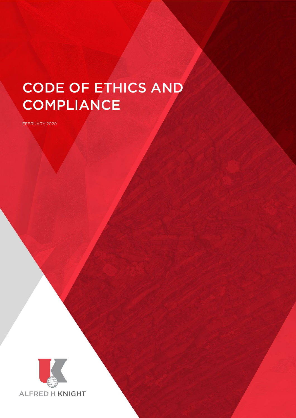# CODE OF ETHICS AND **COMPLIANCE**

FEBRUARY 2020



Code of Ethics and Compliance Page 1 of 13 of 13 of 13 of 13 of 13 of 13 of 13 of 13 of 13 of 13 of 13 of 13 of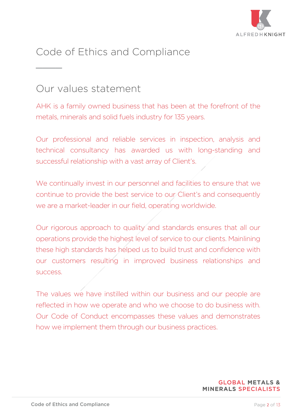

# Code of Ethics and Compliance  $\overline{\phantom{a}}$

# Our values statement

AHK is a family owned business that has been at the forefront of the metals, minerals and solid fuels industry for 135 years.

Our professional and reliable services in inspection, analysis and technical consultancy has awarded us with long-standing and successful relationship with a vast array of Client's.

We continually invest in our personnel and facilities to ensure that we continue to provide the best service to our Client's and consequently we are a market-leader in our field, operating worldwide.

Our rigorous approach to quality and standards ensures that all our operations provide the highest level of service to our clients. Mainlining these high standards has helped us to build trust and confidence with our customers resulting in improved business relationships and success.

The values we have instilled within our business and our people are reflected in how we operate and who we choose to do business with. Our Code of Conduct encompasses these values and demonstrates how we implement them through our business practices.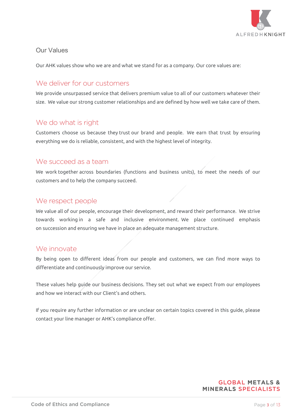

# Our Values

Our AHK values show who we are and what we stand for as a company. Our core values are:

# We deliver for our customers

We provide unsurpassed service that delivers premium value to all of our customers whatever their size. We value our strong customer relationships and are defined by how well we take care of them.

# We do what is right

Customers choose us because they trust our brand and people. We earn that trust by ensuring everything we do is reliable, consistent, and with the highest level of integrity.

# We succeed as a team

We work together across boundaries (functions and business units), to meet the needs of our customers and to help the company succeed.

### We respect people

We value all of our people, encourage their development, and reward their performance. We strive towards working in a safe and inclusive environment. We place continued emphasis on succession and ensuring we have in place an adequate management structure.

### We innovate

By being open to different ideas from our people and customers, we can find more ways to differentiate and continuously improve our service.

These values help guide our business decisions. They set out what we expect from our employees and how we interact with our Client's and others.

If you require any further information or are unclear on certain topics covered in this guide, please contact your line manager or AHK's compliance offer.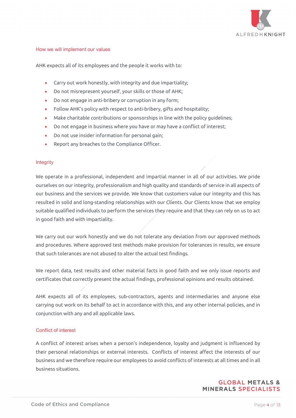

#### How we will implement our values

AHK expects all of its employees and the people it works with to:

- Carry out work honestly, with integrity and due impartiality;
- Do not misrepresent yourself, your skills or those of AHK;
- Do not engage in anti-bribery or corruption in any form;
- Follow AHK's policy with respect to anti-bribery, gifts and hospitality;
- Make charitable contributions or sponsorships in line with the policy guidelines;
- Do not engage in business where you have or may have a conflict of interest;
- Do not use insider information for personal gain;
- Report any breaches to the Compliance Officer.

#### **Integrity**

We operate in a professional, independent and impartial manner in all of our activities. We pride ourselves on our integrity, professionalism and high quality and standards of service in all aspects of our business and the services we provide. We know that customers value our integrity and this has resulted in solid and long-standing relationships with our Clients. Our Clients know that we employ suitable qualified individuals to perform the services they require and that they can rely on us to act in good faith and with impartiality.

We carry out our work honestly and we do not tolerate any deviation from our approved methods and procedures. Where approved test methods make provision for tolerances in results, we ensure that such tolerances are not abused to alter the actual test findings.

We report data, test results and other material facts in good faith and we only issue reports and certificates that correctly present the actual findings, professional opinions and results obtained.

AHK expects all of its employees, sub-contractors, agents and intermediaries and anyone else carrying out work on its behalf to act in accordance with this, and any other internal policies, and in conjunction with any and all applicable laws.

#### Conflict of interest

A conflict of interest arises when a person's independence, loyalty and judgment is influenced by their personal relationships or external interests. Conflicts of interest affect the interests of our business and we therefore require our employees to avoid conflicts of interests at all times and in all business situations.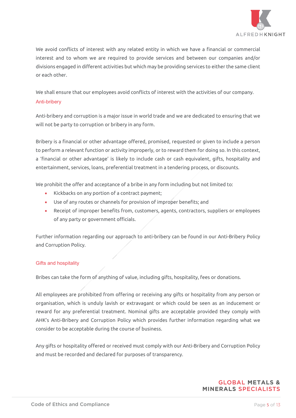

We avoid conflicts of interest with any related entity in which we have a financial or commercial interest and to whom we are required to provide services and between our companies and/or divisions engaged in different activities but which may be providing services to either the same client or each other.

We shall ensure that our employees avoid conflicts of interest with the activities of our company. Anti-bribery

Anti-bribery and corruption is a major issue in world trade and we are dedicated to ensuring that we will not be party to corruption or bribery in any form.

Bribery is a financial or other advantage offered, promised, requested or given to include a person to perform a relevant function or activity improperly, or to reward them for doing so. In this context, a 'financial or other advantage' is likely to include cash or cash equivalent, gifts, hospitality and entertainment, services, loans, preferential treatment in a tendering process, or discounts.

We prohibit the offer and acceptance of a bribe in any form including but not limited to:

- Kickbacks on any portion of a contract payment;
- Use of any routes or channels for provision of improper benefits; and
- Receipt of improper benefits from, customers, agents, contractors, suppliers or employees of any party or government officials.

Further information regarding our approach to anti-bribery can be found in our Anti-Bribery Policy and Corruption Policy.

#### Gifts and hospitality

Bribes can take the form of anything of value, including gifts, hospitality, fees or donations.

All employees are prohibited from offering or receiving any gifts or hospitality from any person or organisation, which is unduly lavish or extravagant or which could be seen as an inducement or reward for any preferential treatment. Nominal gifts are acceptable provided they comply with AHK's Anti-Bribery and Corruption Policy which provides further information regarding what we consider to be acceptable during the course of business.

Any gifts or hospitality offered or received must comply with our Anti-Bribery and Corruption Policy and must be recorded and declared for purposes of transparency.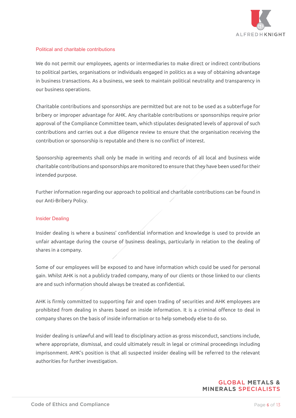

#### Political and charitable contributions

We do not permit our employees, agents or intermediaries to make direct or indirect contributions to political parties, organisations or individuals engaged in politics as a way of obtaining advantage in business transactions. As a business, we seek to maintain political neutrality and transparency in our business operations.

Charitable contributions and sponsorships are permitted but are not to be used as a subterfuge for bribery or improper advantage for AHK. Any charitable contributions or sponsorships require prior approval of the Compliance Committee team, which stipulates designated levels of approval of such contributions and carries out a due diligence review to ensure that the organisation receiving the contribution or sponsorship is reputable and there is no conflict of interest.

Sponsorship agreements shall only be made in writing and records of all local and business wide charitable contributions and sponsorships are monitored to ensure that they have been used for their intended purpose.

Further information regarding our approach to political and charitable contributions can be found in our Anti-Bribery Policy.

#### Insider Dealing

Insider dealing is where a business' confidential information and knowledge is used to provide an unfair advantage during the course of business dealings, particularly in relation to the dealing of shares in a company.

Some of our employees will be exposed to and have information which could be used for personal gain. Whilst AHK is not a publicly traded company, many of our clients or those linked to our clients are and such information should always be treated as confidential.

AHK is firmly committed to supporting fair and open trading of securities and AHK employees are prohibited from dealing in shares based on inside information. It is a criminal offence to deal in company shares on the basis of inside information or to help somebody else to do so.

Insider dealing is unlawful and will lead to disciplinary action as gross misconduct, sanctions include, where appropriate, dismissal, and could ultimately result in legal or criminal proceedings including imprisonment. AHK's position is that all suspected insider dealing will be referred to the relevant authorities for further investigation.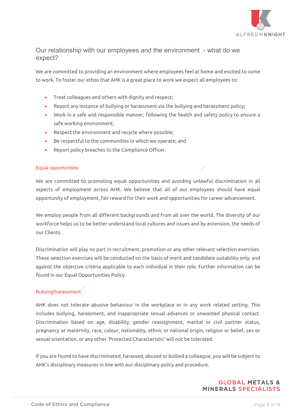

# Our relationship with our employees and the environment - what do we expect?

We are committed to providing an environment where employees feel at home and excited to come to work. To foster our ethos that AHK is a great place to work we expect all employees to:

- Treat colleagues and others with dignity and respect;
- Report any instance of bullying or harassment via the bullying and harassment policy;
- Work in a safe and responsible manner, following the health and safety policy to ensure a safe working environment;
- Respect the environment and recycle where possible;
- Be respectful to the communities in which we operate; and
- Report policy breaches to the Compliance Officer.

#### Equal opportunities

We are committed to promoting equal opportunities and avoiding unlawful discrimination in all aspects of employment across AHK. We believe that all of our employees should have equal opportunity of employment, fair reward for their work and opportunities for career advancement.

We employ people from all different backgrounds and from all over the world. The diversity of our workforce helps us to be better understand local cultures and issues and by extension, the needs of our Clients.

Discrimination will play no part in recruitment, promotion or any other relevant selection exercises. These selection exercises will be conducted on the basis of merit and candidate suitability only, and against the objective criteria applicable to each individual in their role. Further information can be found in our Equal Opportunities Policy.

#### Bullying/harassment

AHK does not tolerate abusive behaviour in the workplace or in any work related setting. This includes bullying, harassment, and inappropriate sexual advances or unwanted physical contact. Discrimination based on age, disability, gender reassignment, marital or civil partner status, pregnancy or maternity, race, colour, nationality, ethnic or national origin, religion or belief, sex or sexual orientation, or any other 'Protected Characteristic' will not be tolerated.

If you are found to have discriminated, harassed, abused or bullied a colleague, you will be subject to AHK's disciplinary measures in line with our disciplinary policy and procedure.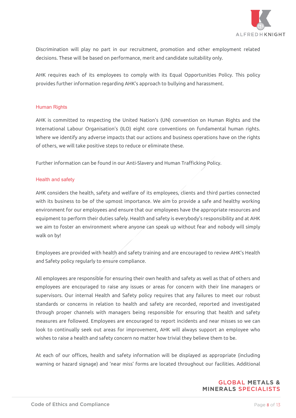

Discrimination will play no part in our recruitment, promotion and other employment related decisions. These will be based on performance, merit and candidate suitability only.

AHK requires each of its employees to comply with its Equal Opportunities Policy. This policy provides further information regarding AHK's approach to bullying and harassment.

#### Human Rights

AHK is committed to respecting the United Nation's (UN) convention on Human Rights and the International Labour Organisation's (ILO) eight core conventions on fundamental human rights. Where we identify any adverse impacts that our actions and business operations have on the rights of others, we will take positive steps to reduce or eliminate these.

Further information can be found in our Anti-Slavery and Human Trafficking Policy.

#### Health and safety

AHK considers the health, safety and welfare of its employees, clients and third parties connected with its business to be of the upmost importance. We aim to provide a safe and healthy working environment for our employees and ensure that our employees have the appropriate resources and equipment to perform their duties safely. Health and safety is everybody's responsibility and at AHK we aim to foster an environment where anyone can speak up without fear and nobody will simply walk on by!

Employees are provided with health and safety training and are encouraged to review AHK's Health and Safety policy regularly to ensure compliance.

All employees are responsible for ensuring their own health and safety as well as that of others and employees are encouraged to raise any issues or areas for concern with their line managers or supervisors. Our internal Health and Safety policy requires that any failures to meet our robust standards or concerns in relation to health and safety are recorded, reported and investigated through proper channels with managers being responsible for ensuring that health and safety measures are followed. Employees are encouraged to report incidents and near misses so we can look to continually seek out areas for improvement, AHK will always support an employee who wishes to raise a health and safety concern no matter how trivial they believe them to be.

At each of our offices, health and safety information will be displayed as appropriate (including warning or hazard signage) and 'near miss' forms are located throughout our facilities. Additional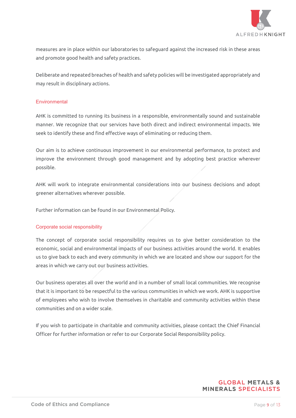

measures are in place within our laboratories to safeguard against the increased risk in these areas and promote good health and safety practices.

Deliberate and repeated breaches of health and safety policies will be investigated appropriately and may result in disciplinary actions.

#### **Environmental**

AHK is committed to running its business in a responsible, environmentally sound and sustainable manner. We recognize that our services have both direct and indirect environmental impacts. We seek to identify these and find effective ways of eliminating or reducing them.

Our aim is to achieve continuous improvement in our environmental performance, to protect and improve the environment through good management and by adopting best practice wherever possible.

AHK will work to integrate environmental considerations into our business decisions and adopt greener alternatives wherever possible.

Further information can be found in our Environmental Policy.

#### Corporate social responsibility

The concept of corporate social responsibility requires us to give better consideration to the economic, social and environmental impacts of our business activities around the world. It enables us to give back to each and every community in which we are located and show our support for the areas in which we carry out our business activities.

Our business operates all over the world and in a number of small local communities. We recognise that it is important to be respectful to the various communities in which we work. AHK is supportive of employees who wish to involve themselves in charitable and community activities within these communities and on a wider scale.

If you wish to participate in charitable and community activities, please contact the Chief Financial Officer for further information or refer to our Corporate Social Responsibility policy.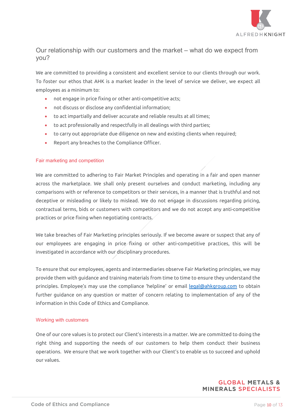

# Our relationship with our customers and the market – what do we expect from you?

We are committed to providing a consistent and excellent service to our clients through our work. To foster our ethos that AHK is a market leader in the level of service we deliver, we expect all employees as a minimum to:

- not engage in price fixing or other anti-competitive acts;
- not discuss or disclose any confidential information;
- to act impartially and deliver accurate and reliable results at all times;
- to act professionally and respectfully in all dealings with third parties;
- to carry out appropriate due diligence on new and existing clients when required;
- Report any breaches to the Compliance Officer.

#### Fair marketing and competition

We are committed to adhering to Fair Market Principles and operating in a fair and open manner across the marketplace. We shall only present ourselves and conduct marketing, including any comparisons with or reference to competitors or their services, in a manner that is truthful and not deceptive or misleading or likely to mislead. We do not engage in discussions regarding pricing, contractual terms, bids or customers with competitors and we do not accept any anti-competitive practices or price fixing when negotiating contracts.

We take breaches of Fair Marketing principles seriously. If we become aware or suspect that any of our employees are engaging in price fixing or other anti-competitive practices, this will be investigated in accordance with our disciplinary procedures.

To ensure that our employees, agents and intermediaries observe Fair Marketing principles, we may provide them with guidance and training materials from time to time to ensure they understand the principles. Employee's may use the compliance 'helpline' or email [legal@ahkgroup.com](mailto:legal@ahkgroup.com) to obtain further guidance on any question or matter of concern relating to implementation of any of the information in this Code of Ethics and Compliance.

#### Working with customers

One of our core values is to protect our Client's interests in a matter. We are committed to doing the right thing and supporting the needs of our customers to help them conduct their business operations. We ensure that we work together with our Client's to enable us to succeed and uphold our values.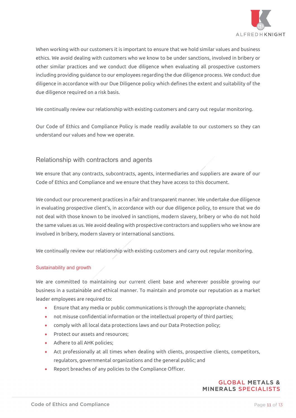

When working with our customers it is important to ensure that we hold similar values and business ethics. We avoid dealing with customers who we know to be under sanctions, involved in bribery or other similar practices and we conduct due diligence when evaluating all prospective customers including providing guidance to our employees regarding the due diligence process. We conduct due diligence in accordance with our Due Diligence policy which defines the extent and suitability of the due diligence required on a risk basis.

We continually review our relationship with existing customers and carry out regular monitoring.

Our Code of Ethics and Compliance Policy is made readily available to our customers so they can understand our values and how we operate.

#### Relationship with contractors and agents

We ensure that any contracts, subcontracts, agents, intermediaries and suppliers are aware of our Code of Ethics and Compliance and we ensure that they have access to this document.

We conduct our procurement practices in a fair and transparent manner. We undertake due diligence in evaluating prospective client's, in accordance with our due diligence policy, to ensure that we do not deal with those known to be involved in sanctions, modern slavery, bribery or who do not hold the same values as us. We avoid dealing with prospective contractors and suppliers who we know are involved in bribery, modern slavery or international sanctions.

We continually review our relationship with existing customers and carry out regular monitoring.

#### Sustainability and growth

We are committed to maintaining our current client base and wherever possible growing our business in a sustainable and ethical manner. To maintain and promote our reputation as a market leader employees are required to:

- Ensure that any media or public communications is through the appropriate channels;
- not misuse confidential information or the intellectual property of third parties;
- comply with all local data protections laws and our Data Protection policy;
- Protect our assets and resources;
- Adhere to all AHK policies;
- Act professionally at all times when dealing with clients, prospective clients, competitors, regulators, governmental organizations and the general public; and
- Report breaches of any policies to the Compliance Officer.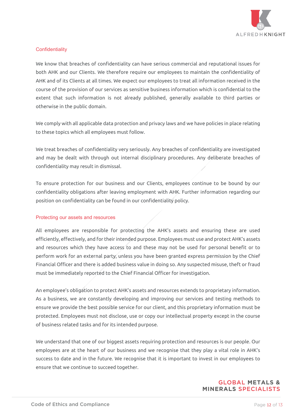

#### **Confidentiality**

We know that breaches of confidentiality can have serious commercial and reputational issues for both AHK and our Clients. We therefore require our employees to maintain the confidentiality of AHK and of its Clients at all times. We expect our employees to treat all information received in the course of the provision of our services as sensitive business information which is confidential to the extent that such information is not already published, generally available to third parties or otherwise in the public domain.

We comply with all applicable data protection and privacy laws and we have policies in place relating to these topics which all employees must follow.

We treat breaches of confidentiality very seriously. Any breaches of confidentiality are investigated and may be dealt with through out internal disciplinary procedures. Any deliberate breaches of confidentiality may result in dismissal.

To ensure protection for our business and our Clients, employees continue to be bound by our confidentiality obligations after leaving employment with AHK. Further information regarding our position on confidentiality can be found in our confidentiality policy.

#### Protecting our assets and resources

All employees are responsible for protecting the AHK's assets and ensuring these are used efficiently, effectively, and for their intended purpose. Employees must use and protect AHK's assets and resources which they have access to and these may not be used for personal benefit or to perform work for an external party, unless you have been granted express permission by the Chief Financial Officer and there is added business value in doing so. Any suspected misuse, theft or fraud must be immediately reported to the Chief Financial Officer for investigation.

An employee's obligation to protect AHK's assets and resources extends to proprietary information. As a business, we are constantly developing and improving our services and testing methods to ensure we provide the best possible service for our client, and this proprietary information must be protected. Employees must not disclose, use or copy our intellectual property except in the course of business related tasks and for its intended purpose.

We understand that one of our biggest assets requiring protection and resources is our people. Our employees are at the heart of our business and we recognise that they play a vital role in AHK's success to date and in the future. We recognise that it is important to invest in our employees to ensure that we continue to succeed together.